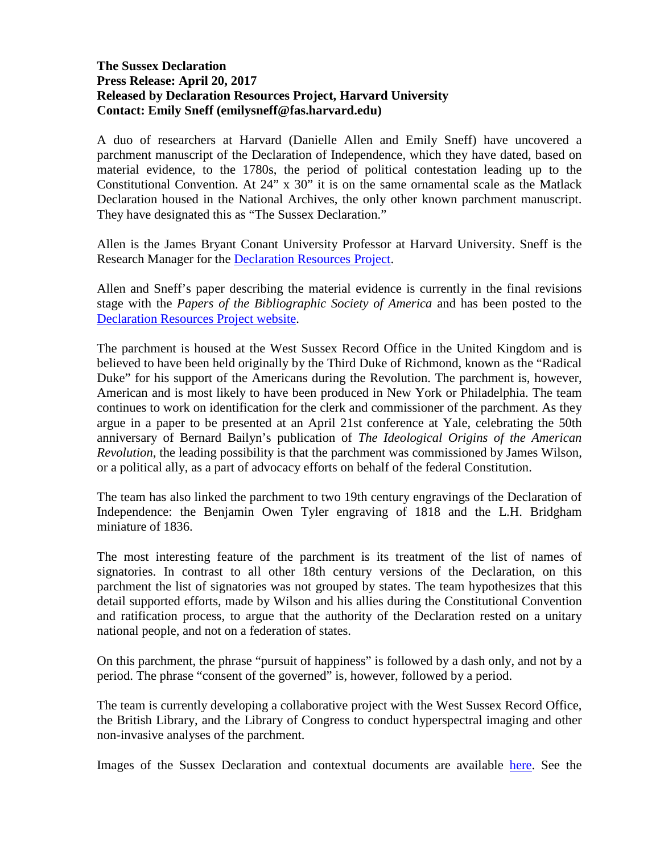## **The Sussex Declaration Press Release: April 20, 2017 Released by Declaration Resources Project, Harvard University Contact: Emily Sneff (emilysneff@fas.harvard.edu)**

A duo of researchers at Harvard (Danielle Allen and Emily Sneff) have uncovered a parchment manuscript of the Declaration of Independence, which they have dated, based on material evidence, to the 1780s, the period of political contestation leading up to the Constitutional Convention. At 24" x 30" it is on the same ornamental scale as the Matlack Declaration housed in the National Archives, the only other known parchment manuscript. They have designated this as "The Sussex Declaration."

Allen is the James Bryant Conant University Professor at Harvard University. Sneff is the Research Manager for the Declaration Resources Project.

Allen and Sneff's paper describing the material evidence is currently in the final revisions stage with the *Papers of the Bibliographic Society of America* and has been posted to the [Declaration Resources Project website.](http://declaration.fas.harvard.edu/)

The parchment is housed at the West Sussex Record Office in the United Kingdom and is believed to have been held originally by the Third Duke of Richmond, known as the "Radical Duke" for his support of the Americans during the Revolution. The parchment is, however, American and is most likely to have been produced in New York or Philadelphia. The team continues to work on identification for the clerk and commissioner of the parchment. As they argue in a paper to be presented at an April 21st conference at Yale, celebrating the 50th anniversary of Bernard Bailyn's publication of *The Ideological Origins of the American Revolution*, the leading possibility is that the parchment was commissioned by James Wilson, or a political ally, as a part of advocacy efforts on behalf of the federal Constitution.

The team has also linked the parchment to two 19th century engravings of the Declaration of Independence: the Benjamin Owen Tyler engraving of 1818 and the L.H. Bridgham miniature of 1836.

The most interesting feature of the parchment is its treatment of the list of names of signatories. In contrast to all other 18th century versions of the Declaration, on this parchment the list of signatories was not grouped by states. The team hypothesizes that this detail supported efforts, made by Wilson and his allies during the Constitutional Convention and ratification process, to argue that the authority of the Declaration rested on a unitary national people, and not on a federation of states.

On this parchment, the phrase "pursuit of happiness" is followed by a dash only, and not by a period. The phrase "consent of the governed" is, however, followed by a period.

The team is currently developing a collaborative project with the West Sussex Record Office, the British Library, and the Library of Congress to conduct hyperspectral imaging and other non-invasive analyses of the parchment.

Images of the Sussex Declaration and contextual documents are available [here.](https://www.dropbox.com/sh/un65xt20ttsia2c/AABsr4hHxeV-UbVd2BQ3Mv72a?dl=0) See the